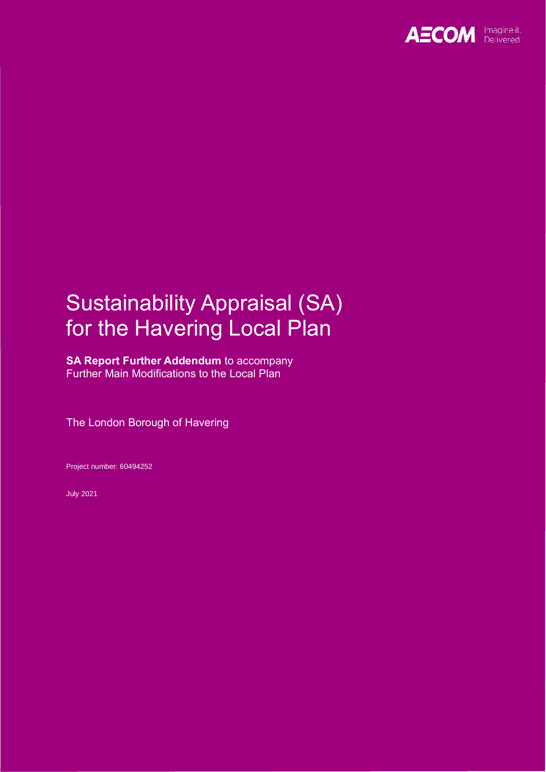

# Sustainability Appraisal (SA) for the Havering Local Plan

**SA Report Further Addendum** to accompany Further Main Modifications to the Local Plan

The London Borough of Havering

Project number: 60494252

July 2021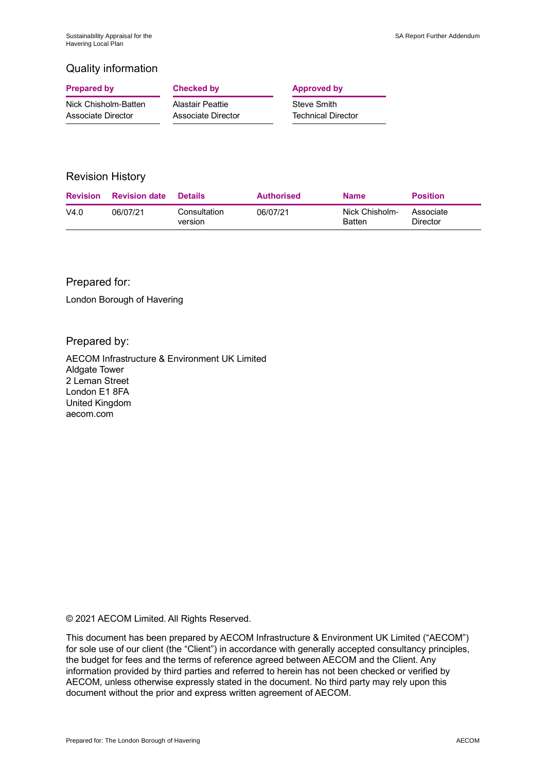### Quality information

| <b>Prepared by</b>                         | Checked by                             | <b>Approved by</b>                       |
|--------------------------------------------|----------------------------------------|------------------------------------------|
| Nick Chisholm-Batten<br>Associate Director | Alastair Peattie<br>Associate Director | Steve Smith<br><b>Technical Director</b> |
|                                            |                                        |                                          |

#### Revision History

| <b>Revision</b> | <b>Revision date</b> | <b>Details</b>          | Authorised | <b>Name</b>                     | <b>Position</b>       |
|-----------------|----------------------|-------------------------|------------|---------------------------------|-----------------------|
| V4.0            | 06/07/21             | Consultation<br>version | 06/07/21   | Nick Chisholm-<br><b>Batten</b> | Associate<br>Director |

#### Prepared for:

London Borough of Havering

#### Prepared by:

AECOM Infrastructure & Environment UK Limited Aldgate Tower 2 Leman Street London E1 8FA United Kingdom aecom.com

© 2021 AECOM Limited. All Rights Reserved.

This document has been prepared by AECOM Infrastructure & Environment UK Limited ("AECOM") for sole use of our client (the "Client") in accordance with generally accepted consultancy principles, the budget for fees and the terms of reference agreed between AECOM and the Client. Any information provided by third parties and referred to herein has not been checked or verified by AECOM, unless otherwise expressly stated in the document. No third party may rely upon this document without the prior and express written agreement of AECOM.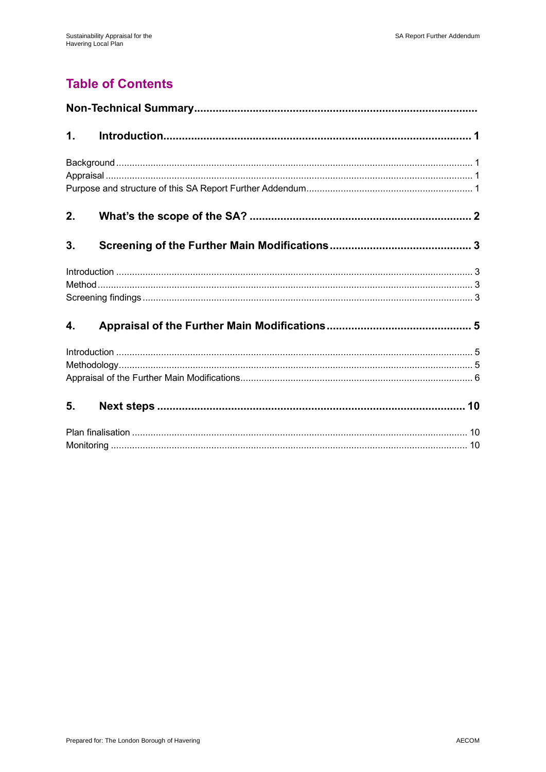### **Table of Contents**

| 1. |  |
|----|--|
|    |  |
|    |  |
| 2. |  |
| 3. |  |
|    |  |
|    |  |
|    |  |
| 4. |  |
|    |  |
|    |  |
|    |  |
| 5. |  |
|    |  |
|    |  |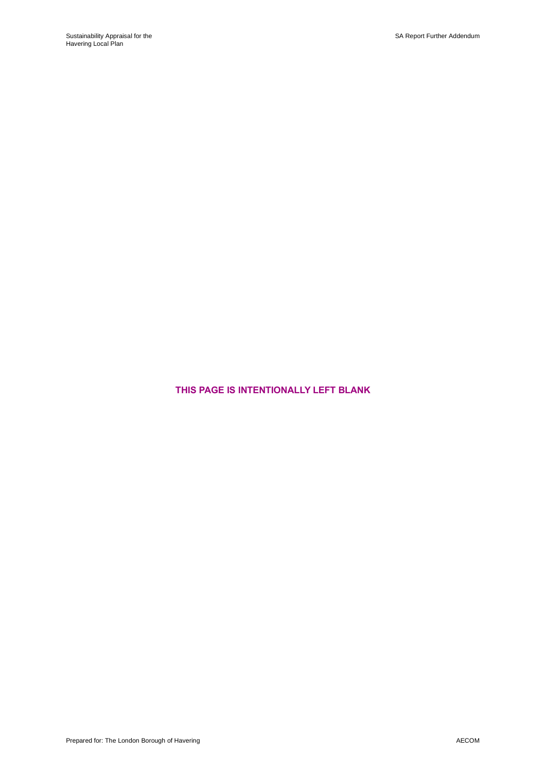### **THIS PAGE IS INTENTIONALLY LEFT BLANK**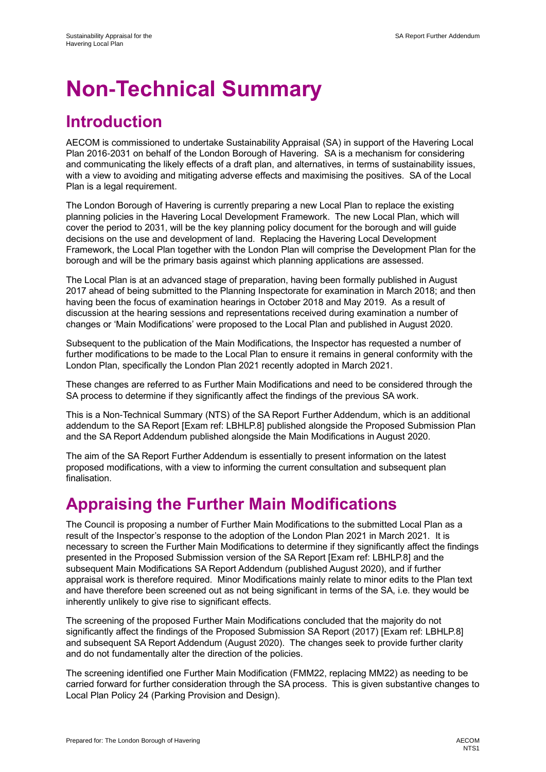# **Non-Technical Summary**

## **Introduction**

AECOM is commissioned to undertake Sustainability Appraisal (SA) in support of the Havering Local Plan 2016-2031 on behalf of the London Borough of Havering. SA is a mechanism for considering and communicating the likely effects of a draft plan, and alternatives, in terms of sustainability issues, with a view to avoiding and mitigating adverse effects and maximising the positives. SA of the Local Plan is a legal requirement.

The London Borough of Havering is currently preparing a new Local Plan to replace the existing planning policies in the Havering Local Development Framework. The new Local Plan, which will cover the period to 2031, will be the key planning policy document for the borough and will guide decisions on the use and development of land. Replacing the Havering Local Development Framework, the Local Plan together with the London Plan will comprise the Development Plan for the borough and will be the primary basis against which planning applications are assessed.

The Local Plan is at an advanced stage of preparation, having been formally published in August 2017 ahead of being submitted to the Planning Inspectorate for examination in March 2018; and then having been the focus of examination hearings in October 2018 and May 2019. As a result of discussion at the hearing sessions and representations received during examination a number of changes or 'Main Modifications' were proposed to the Local Plan and published in August 2020.

Subsequent to the publication of the Main Modifications, the Inspector has requested a number of further modifications to be made to the Local Plan to ensure it remains in general conformity with the London Plan, specifically the London Plan 2021 recently adopted in March 2021.

These changes are referred to as Further Main Modifications and need to be considered through the SA process to determine if they significantly affect the findings of the previous SA work.

This is a Non-Technical Summary (NTS) of the SA Report Further Addendum, which is an additional addendum to the SA Report [Exam ref: LBHLP.8] published alongside the Proposed Submission Plan and the SA Report Addendum published alongside the Main Modifications in August 2020.

The aim of the SA Report Further Addendum is essentially to present information on the latest proposed modifications, with a view to informing the current consultation and subsequent plan finalisation.

## **Appraising the Further Main Modifications**

The Council is proposing a number of Further Main Modifications to the submitted Local Plan as a result of the Inspector's response to the adoption of the London Plan 2021 in March 2021. It is necessary to screen the Further Main Modifications to determine if they significantly affect the findings presented in the Proposed Submission version of the SA Report [Exam ref: LBHLP.8] and the subsequent Main Modifications SA Report Addendum (published August 2020), and if further appraisal work is therefore required. Minor Modifications mainly relate to minor edits to the Plan text and have therefore been screened out as not being significant in terms of the SA, i.e. they would be inherently unlikely to give rise to significant effects.

The screening of the proposed Further Main Modifications concluded that the majority do not significantly affect the findings of the Proposed Submission SA Report (2017) [Exam ref: LBHLP.8] and subsequent SA Report Addendum (August 2020). The changes seek to provide further clarity and do not fundamentally alter the direction of the policies.

The screening identified one Further Main Modification (FMM22, replacing MM22) as needing to be carried forward for further consideration through the SA process. This is given substantive changes to Local Plan Policy 24 (Parking Provision and Design).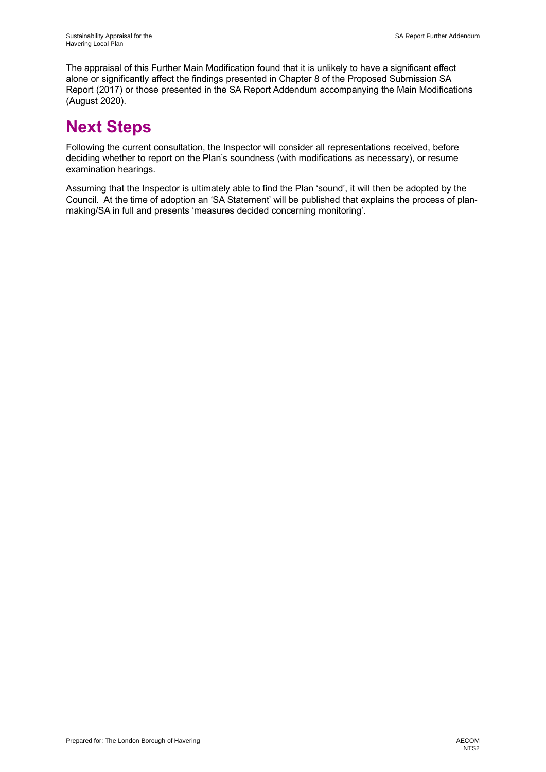The appraisal of this Further Main Modification found that it is unlikely to have a significant effect alone or significantly affect the findings presented in Chapter 8 of the Proposed Submission SA Report (2017) or those presented in the SA Report Addendum accompanying the Main Modifications (August 2020).

# **Next Steps**

Following the current consultation, the Inspector will consider all representations received, before deciding whether to report on the Plan's soundness (with modifications as necessary), or resume examination hearings.

Assuming that the Inspector is ultimately able to find the Plan 'sound', it will then be adopted by the Council. At the time of adoption an 'SA Statement' will be published that explains the process of planmaking/SA in full and presents 'measures decided concerning monitoring'.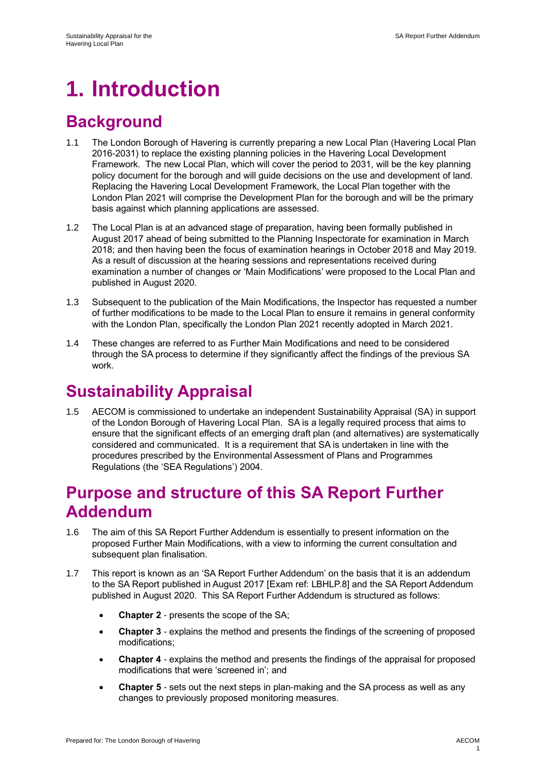# **1. Introduction**

## **Background**

- 1.1 The London Borough of Havering is currently preparing a new Local Plan (Havering Local Plan 2016-2031) to replace the existing planning policies in the Havering Local Development Framework. The new Local Plan, which will cover the period to 2031, will be the key planning policy document for the borough and will guide decisions on the use and development of land. Replacing the Havering Local Development Framework, the Local Plan together with the London Plan 2021 will comprise the Development Plan for the borough and will be the primary basis against which planning applications are assessed.
- 1.2 The Local Plan is at an advanced stage of preparation, having been formally published in August 2017 ahead of being submitted to the Planning Inspectorate for examination in March 2018; and then having been the focus of examination hearings in October 2018 and May 2019. As a result of discussion at the hearing sessions and representations received during examination a number of changes or 'Main Modifications' were proposed to the Local Plan and published in August 2020.
- 1.3 Subsequent to the publication of the Main Modifications, the Inspector has requested a number of further modifications to be made to the Local Plan to ensure it remains in general conformity with the London Plan, specifically the London Plan 2021 recently adopted in March 2021.
- 1.4 These changes are referred to as Further Main Modifications and need to be considered through the SA process to determine if they significantly affect the findings of the previous SA work.

# **Sustainability Appraisal**

1.5 AECOM is commissioned to undertake an independent Sustainability Appraisal (SA) in support of the London Borough of Havering Local Plan. SA is a legally required process that aims to ensure that the significant effects of an emerging draft plan (and alternatives) are systematically considered and communicated. It is a requirement that SA is undertaken in line with the procedures prescribed by the Environmental Assessment of Plans and Programmes Regulations (the 'SEA Regulations') 2004.

### **Purpose and structure of this SA Report Further Addendum**

- 1.6 The aim of this SA Report Further Addendum is essentially to present information on the proposed Further Main Modifications, with a view to informing the current consultation and subsequent plan finalisation.
- 1.7 This report is known as an 'SA Report Further Addendum' on the basis that it is an addendum to the SA Report published in August 2017 [Exam ref: LBHLP.8] and the SA Report Addendum published in August 2020. This SA Report Further Addendum is structured as follows:
	- **Chapter 2** presents the scope of the SA:
	- **Chapter 3** explains the method and presents the findings of the screening of proposed modifications;
	- **Chapter 4** explains the method and presents the findings of the appraisal for proposed modifications that were 'screened in'; and
	- **Chapter 5** sets out the next steps in plan-making and the SA process as well as any changes to previously proposed monitoring measures.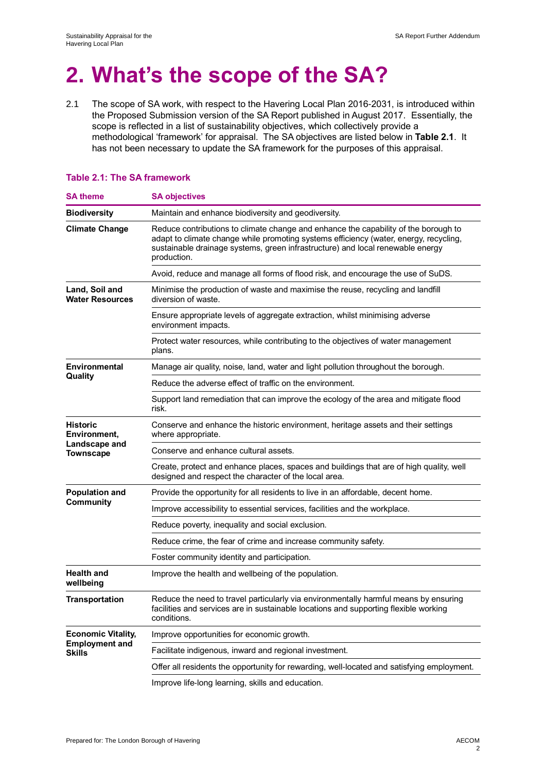# **2. What's the scope of the SA?**

2.1 The scope of SA work, with respect to the Havering Local Plan 2016-2031, is introduced within the Proposed Submission version of the SA Report published in August 2017. Essentially, the scope is reflected in a list of sustainability objectives, which collectively provide a methodological 'framework' for appraisal. The SA objectives are listed below in **Table 2.1**. It has not been necessary to update the SA framework for the purposes of this appraisal.

| <b>SA theme</b>                          | <b>SA objectives</b>                                                                                                                                                                                                                                                          |  |  |
|------------------------------------------|-------------------------------------------------------------------------------------------------------------------------------------------------------------------------------------------------------------------------------------------------------------------------------|--|--|
| <b>Biodiversity</b>                      | Maintain and enhance biodiversity and geodiversity.                                                                                                                                                                                                                           |  |  |
| <b>Climate Change</b>                    | Reduce contributions to climate change and enhance the capability of the borough to<br>adapt to climate change while promoting systems efficiency (water, energy, recycling,<br>sustainable drainage systems, green infrastructure) and local renewable energy<br>production. |  |  |
|                                          | Avoid, reduce and manage all forms of flood risk, and encourage the use of SuDS.                                                                                                                                                                                              |  |  |
| Land, Soil and<br><b>Water Resources</b> | Minimise the production of waste and maximise the reuse, recycling and landfill<br>diversion of waste.                                                                                                                                                                        |  |  |
|                                          | Ensure appropriate levels of aggregate extraction, whilst minimising adverse<br>environment impacts.                                                                                                                                                                          |  |  |
|                                          | Protect water resources, while contributing to the objectives of water management<br>plans.                                                                                                                                                                                   |  |  |
| Environmental                            | Manage air quality, noise, land, water and light pollution throughout the borough.                                                                                                                                                                                            |  |  |
| Quality                                  | Reduce the adverse effect of traffic on the environment.                                                                                                                                                                                                                      |  |  |
|                                          | Support land remediation that can improve the ecology of the area and mitigate flood<br>risk.                                                                                                                                                                                 |  |  |
| <b>Historic</b><br>Environment,          | Conserve and enhance the historic environment, heritage assets and their settings<br>where appropriate.                                                                                                                                                                       |  |  |
| Landscape and<br><b>Townscape</b>        | Conserve and enhance cultural assets.                                                                                                                                                                                                                                         |  |  |
|                                          | Create, protect and enhance places, spaces and buildings that are of high quality, well<br>designed and respect the character of the local area.                                                                                                                              |  |  |
| <b>Population and</b>                    | Provide the opportunity for all residents to live in an affordable, decent home.                                                                                                                                                                                              |  |  |
| <b>Community</b>                         | Improve accessibility to essential services, facilities and the workplace.                                                                                                                                                                                                    |  |  |
|                                          | Reduce poverty, inequality and social exclusion.                                                                                                                                                                                                                              |  |  |
|                                          | Reduce crime, the fear of crime and increase community safety.                                                                                                                                                                                                                |  |  |
|                                          | Foster community identity and participation.                                                                                                                                                                                                                                  |  |  |
| <b>Health</b> and<br>wellbeing           | Improve the health and wellbeing of the population.                                                                                                                                                                                                                           |  |  |
| Transportation                           | Reduce the need to travel particularly via environmentally harmful means by ensuring<br>facilities and services are in sustainable locations and supporting flexible working<br>conditions.                                                                                   |  |  |
| <b>Economic Vitality,</b>                | Improve opportunities for economic growth.                                                                                                                                                                                                                                    |  |  |
| <b>Employment and</b><br><b>Skills</b>   | Facilitate indigenous, inward and regional investment.                                                                                                                                                                                                                        |  |  |
|                                          | Offer all residents the opportunity for rewarding, well-located and satisfying employment.                                                                                                                                                                                    |  |  |
|                                          | Improve life-long learning, skills and education.                                                                                                                                                                                                                             |  |  |

#### **Table 2.1: The SA framework**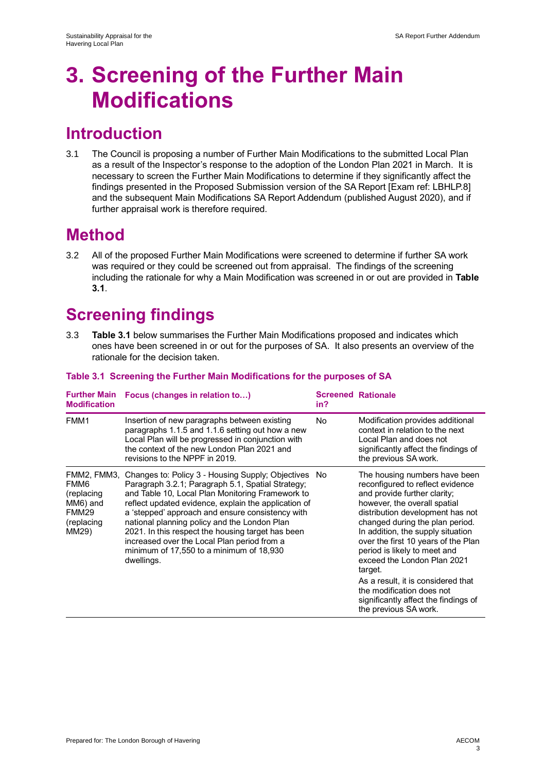# **3. Screening of the Further Main Modifications**

### **Introduction**

3.1 The Council is proposing a number of Further Main Modifications to the submitted Local Plan as a result of the Inspector's response to the adoption of the London Plan 2021 in March. It is necessary to screen the Further Main Modifications to determine if they significantly affect the findings presented in the Proposed Submission version of the SA Report [Exam ref: LBHLP.8] and the subsequent Main Modifications SA Report Addendum (published August 2020), and if further appraisal work is therefore required.

### **Method**

3.2 All of the proposed Further Main Modifications were screened to determine if further SA work was required or they could be screened out from appraisal. The findings of the screening including the rationale for why a Main Modification was screened in or out are provided in **Table 3.1**.

# **Screening findings**

3.3 **Table 3.1** below summarises the Further Main Modifications proposed and indicates which ones have been screened in or out for the purposes of SA. It also presents an overview of the rationale for the decision taken.

| <b>Further Main</b><br><b>Modification</b>                                    | Focus (changes in relation to)                                                                                                                                                                                                                                                                                                                                                                                                                                                          | in? | <b>Screened Rationale</b>                                                                                                                                                                                                                                                                                                                                                                                                                                                                          |
|-------------------------------------------------------------------------------|-----------------------------------------------------------------------------------------------------------------------------------------------------------------------------------------------------------------------------------------------------------------------------------------------------------------------------------------------------------------------------------------------------------------------------------------------------------------------------------------|-----|----------------------------------------------------------------------------------------------------------------------------------------------------------------------------------------------------------------------------------------------------------------------------------------------------------------------------------------------------------------------------------------------------------------------------------------------------------------------------------------------------|
| FMM1                                                                          | Insertion of new paragraphs between existing<br>paragraphs 1.1.5 and 1.1.6 setting out how a new<br>Local Plan will be progressed in conjunction with<br>the context of the new London Plan 2021 and<br>revisions to the NPPF in 2019.                                                                                                                                                                                                                                                  | No  | Modification provides additional<br>context in relation to the next<br>Local Plan and does not<br>significantly affect the findings of<br>the previous SA work.                                                                                                                                                                                                                                                                                                                                    |
| FMM2, FMM3,<br>FMM6<br>(replacing<br>MM6) and<br>FMM29<br>(replacing<br>MM29) | Changes to: Policy 3 - Housing Supply; Objectives No<br>Paragraph 3.2.1; Paragraph 5.1, Spatial Strategy;<br>and Table 10, Local Plan Monitoring Framework to<br>reflect updated evidence, explain the application of<br>a 'stepped' approach and ensure consistency with<br>national planning policy and the London Plan<br>2021. In this respect the housing target has been<br>increased over the Local Plan period from a<br>minimum of 17,550 to a minimum of 18,930<br>dwellings. |     | The housing numbers have been<br>reconfigured to reflect evidence<br>and provide further clarity;<br>however, the overall spatial<br>distribution development has not<br>changed during the plan period.<br>In addition, the supply situation<br>over the first 10 years of the Plan<br>period is likely to meet and<br>exceed the London Plan 2021<br>target.<br>As a result, it is considered that<br>the modification does not<br>significantly affect the findings of<br>the previous SA work. |

#### **Table 3.1 Screening the Further Main Modifications for the purposes of SA**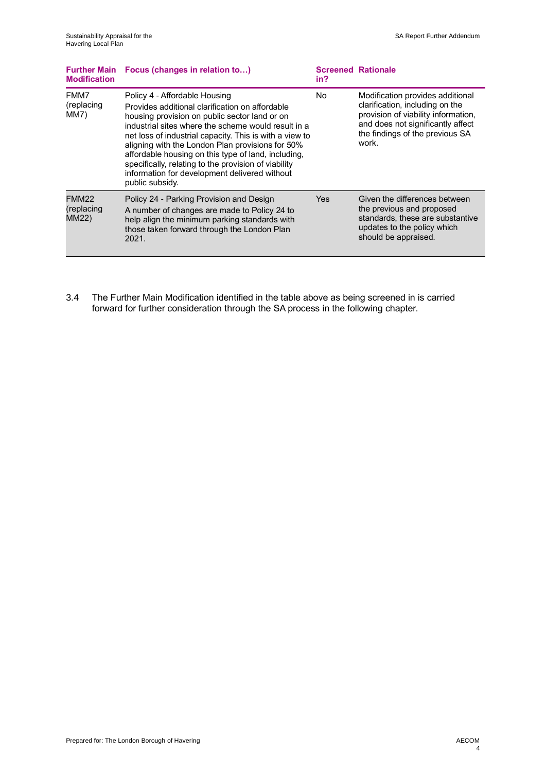| <b>Further Main</b><br><b>Modification</b> | Focus (changes in relation to)                                                                                                                                                                                                                                                                                                                                                                                                                                                             | in? | <b>Screened Rationale</b>                                                                                                                                                                   |
|--------------------------------------------|--------------------------------------------------------------------------------------------------------------------------------------------------------------------------------------------------------------------------------------------------------------------------------------------------------------------------------------------------------------------------------------------------------------------------------------------------------------------------------------------|-----|---------------------------------------------------------------------------------------------------------------------------------------------------------------------------------------------|
| FMM7<br>(replacing)<br>MM7)                | Policy 4 - Affordable Housing<br>Provides additional clarification on affordable<br>housing provision on public sector land or on<br>industrial sites where the scheme would result in a<br>net loss of industrial capacity. This is with a view to<br>aligning with the London Plan provisions for 50%<br>affordable housing on this type of land, including,<br>specifically, relating to the provision of viability<br>information for development delivered without<br>public subsidy. | No. | Modification provides additional<br>clarification, including on the<br>provision of viability information,<br>and does not significantly affect<br>the findings of the previous SA<br>work. |
| FMM22<br>(replacing<br>MM22)               | Policy 24 - Parking Provision and Design<br>A number of changes are made to Policy 24 to<br>help align the minimum parking standards with<br>those taken forward through the London Plan<br>2021.                                                                                                                                                                                                                                                                                          | Yes | Given the differences between<br>the previous and proposed<br>standards, these are substantive<br>updates to the policy which<br>should be appraised.                                       |

3.4 The Further Main Modification identified in the table above as being screened in is carried forward for further consideration through the SA process in the following chapter.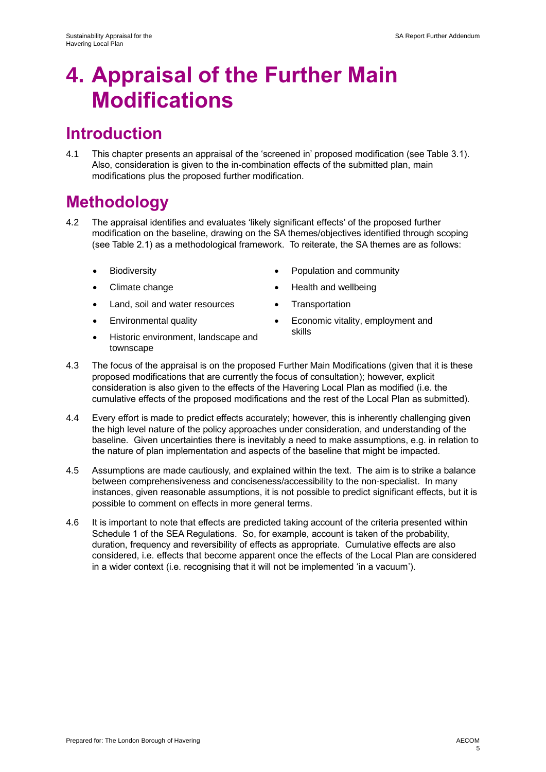# **4. Appraisal of the Further Main Modifications**

### **Introduction**

4.1 This chapter presents an appraisal of the 'screened in' proposed modification (see Table 3.1). Also, consideration is given to the in-combination effects of the submitted plan, main modifications plus the proposed further modification.

## **Methodology**

- 4.2 The appraisal identifies and evaluates 'likely significant effects' of the proposed further modification on the baseline, drawing on the SA themes/objectives identified through scoping (see Table 2.1) as a methodological framework. To reiterate, the SA themes are as follows:
	- Biodiversity
	- Climate change
	- Land, soil and water resources
	- Environmental quality
	- Historic environment, landscape and townscape
- Population and community
- Health and wellbeing
- Transportation
- Economic vitality, employment and skills
- 4.3 The focus of the appraisal is on the proposed Further Main Modifications (given that it is these proposed modifications that are currently the focus of consultation); however, explicit consideration is also given to the effects of the Havering Local Plan as modified (i.e. the cumulative effects of the proposed modifications and the rest of the Local Plan as submitted).
- 4.4 Every effort is made to predict effects accurately; however, this is inherently challenging given the high level nature of the policy approaches under consideration, and understanding of the baseline. Given uncertainties there is inevitably a need to make assumptions, e.g. in relation to the nature of plan implementation and aspects of the baseline that might be impacted.
- 4.5 Assumptions are made cautiously, and explained within the text. The aim is to strike a balance between comprehensiveness and conciseness/accessibility to the non-specialist. In many instances, given reasonable assumptions, it is not possible to predict significant effects, but it is possible to comment on effects in more general terms.
- 4.6 It is important to note that effects are predicted taking account of the criteria presented within Schedule 1 of the SEA Regulations. So, for example, account is taken of the probability, duration, frequency and reversibility of effects as appropriate. Cumulative effects are also considered, i.e. effects that become apparent once the effects of the Local Plan are considered in a wider context (i.e. recognising that it will not be implemented 'in a vacuum').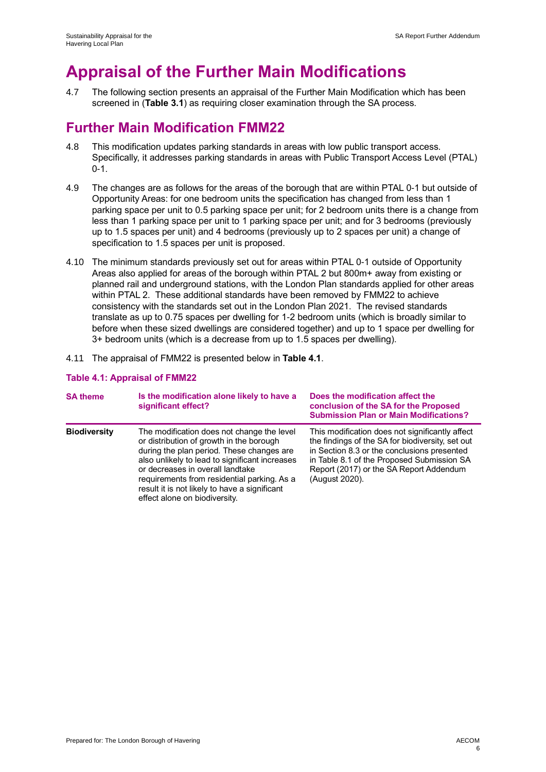## **Appraisal of the Further Main Modifications**

4.7 The following section presents an appraisal of the Further Main Modification which has been screened in (**Table 3.1**) as requiring closer examination through the SA process.

### **Further Main Modification FMM22**

- 4.8 This modification updates parking standards in areas with low public transport access. Specifically, it addresses parking standards in areas with Public Transport Access Level (PTAL) 0-1.
- 4.9 The changes are as follows for the areas of the borough that are within PTAL 0-1 but outside of Opportunity Areas: for one bedroom units the specification has changed from less than 1 parking space per unit to 0.5 parking space per unit; for 2 bedroom units there is a change from less than 1 parking space per unit to 1 parking space per unit; and for 3 bedrooms (previously up to 1.5 spaces per unit) and 4 bedrooms (previously up to 2 spaces per unit) a change of specification to 1.5 spaces per unit is proposed.
- 4.10 The minimum standards previously set out for areas within PTAL 0-1 outside of Opportunity Areas also applied for areas of the borough within PTAL 2 but 800m+ away from existing or planned rail and underground stations, with the London Plan standards applied for other areas within PTAL 2. These additional standards have been removed by FMM22 to achieve consistency with the standards set out in the London Plan 2021. The revised standards translate as up to 0.75 spaces per dwelling for 1-2 bedroom units (which is broadly similar to before when these sized dwellings are considered together) and up to 1 space per dwelling for 3+ bedroom units (which is a decrease from up to 1.5 spaces per dwelling).
- 4.11 The appraisal of FMM22 is presented below in **Table 4.1**.

#### **Table 4.1: Appraisal of FMM22**

| <b>SA theme</b>     | Is the modification alone likely to have a<br>significant effect?                                                                                                                                                                                                                                                                                          | Does the modification affect the<br>conclusion of the SA for the Proposed<br><b>Submission Plan or Main Modifications?</b>                                                                                                                                    |
|---------------------|------------------------------------------------------------------------------------------------------------------------------------------------------------------------------------------------------------------------------------------------------------------------------------------------------------------------------------------------------------|---------------------------------------------------------------------------------------------------------------------------------------------------------------------------------------------------------------------------------------------------------------|
| <b>Biodiversity</b> | The modification does not change the level<br>or distribution of growth in the borough<br>during the plan period. These changes are<br>also unlikely to lead to significant increases<br>or decreases in overall landtake<br>requirements from residential parking. As a<br>result it is not likely to have a significant<br>effect alone on biodiversity. | This modification does not significantly affect<br>the findings of the SA for biodiversity, set out<br>in Section 8.3 or the conclusions presented<br>in Table 8.1 of the Proposed Submission SA<br>Report (2017) or the SA Report Addendum<br>(August 2020). |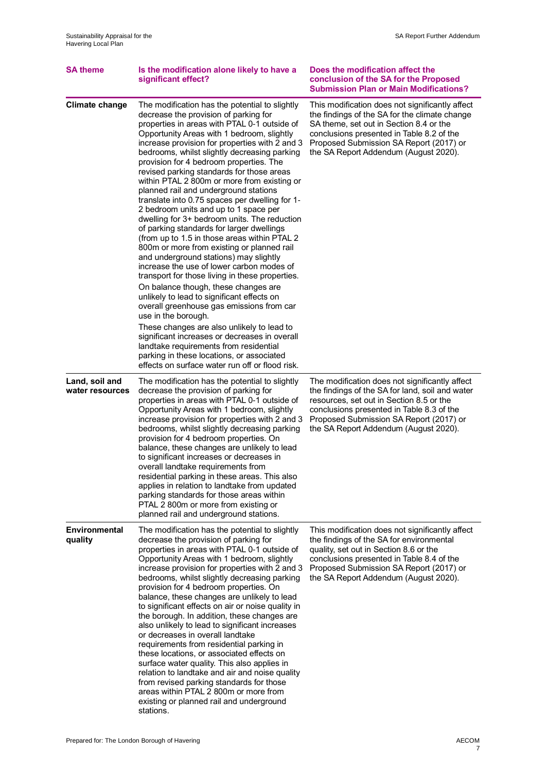| <b>SA theme</b>                   | Is the modification alone likely to have a<br>significant effect?                                                                                                                                                                                                                                                                                                                                                                                                                                                                                                                                                                                                                                                                                                                                                                                                                                                                                                                                                                                                                                                                                                                                                                                                                                          | Does the modification affect the<br>conclusion of the SA for the Proposed<br><b>Submission Plan or Main Modifications?</b>                                                                                                                                                     |
|-----------------------------------|------------------------------------------------------------------------------------------------------------------------------------------------------------------------------------------------------------------------------------------------------------------------------------------------------------------------------------------------------------------------------------------------------------------------------------------------------------------------------------------------------------------------------------------------------------------------------------------------------------------------------------------------------------------------------------------------------------------------------------------------------------------------------------------------------------------------------------------------------------------------------------------------------------------------------------------------------------------------------------------------------------------------------------------------------------------------------------------------------------------------------------------------------------------------------------------------------------------------------------------------------------------------------------------------------------|--------------------------------------------------------------------------------------------------------------------------------------------------------------------------------------------------------------------------------------------------------------------------------|
| <b>Climate change</b>             | The modification has the potential to slightly<br>decrease the provision of parking for<br>properties in areas with PTAL 0-1 outside of<br>Opportunity Areas with 1 bedroom, slightly<br>increase provision for properties with 2 and 3<br>bedrooms, whilst slightly decreasing parking<br>provision for 4 bedroom properties. The<br>revised parking standards for those areas<br>within PTAL 2 800m or more from existing or<br>planned rail and underground stations<br>translate into 0.75 spaces per dwelling for 1-<br>2 bedroom units and up to 1 space per<br>dwelling for 3+ bedroom units. The reduction<br>of parking standards for larger dwellings<br>(from up to 1.5 in those areas within PTAL 2<br>800m or more from existing or planned rail<br>and underground stations) may slightly<br>increase the use of lower carbon modes of<br>transport for those living in these properties.<br>On balance though, these changes are<br>unlikely to lead to significant effects on<br>overall greenhouse gas emissions from car<br>use in the borough.<br>These changes are also unlikely to lead to<br>significant increases or decreases in overall<br>landtake requirements from residential<br>parking in these locations, or associated<br>effects on surface water run off or flood risk. | This modification does not significantly affect<br>the findings of the SA for the climate change<br>SA theme, set out in Section 8.4 or the<br>conclusions presented in Table 8.2 of the<br>Proposed Submission SA Report (2017) or<br>the SA Report Addendum (August 2020).   |
| Land, soil and<br>water resources | The modification has the potential to slightly<br>decrease the provision of parking for<br>properties in areas with PTAL 0-1 outside of<br>Opportunity Areas with 1 bedroom, slightly<br>increase provision for properties with 2 and 3<br>bedrooms, whilst slightly decreasing parking<br>provision for 4 bedroom properties. On<br>balance, these changes are unlikely to lead<br>to significant increases or decreases in<br>overall landtake requirements from<br>residential parking in these areas. This also<br>applies in relation to landtake from updated<br>parking standards for those areas within<br>PTAL 2 800m or more from existing or<br>planned rail and underground stations.                                                                                                                                                                                                                                                                                                                                                                                                                                                                                                                                                                                                          | The modification does not significantly affect<br>the findings of the SA for land, soil and water<br>resources, set out in Section 8.5 or the<br>conclusions presented in Table 8.3 of the<br>Proposed Submission SA Report (2017) or<br>the SA Report Addendum (August 2020). |
| <b>Environmental</b><br>quality   | The modification has the potential to slightly<br>decrease the provision of parking for<br>properties in areas with PTAL 0-1 outside of<br>Opportunity Areas with 1 bedroom, slightly<br>increase provision for properties with 2 and 3<br>bedrooms, whilst slightly decreasing parking<br>provision for 4 bedroom properties. On<br>balance, these changes are unlikely to lead<br>to significant effects on air or noise quality in<br>the borough. In addition, these changes are<br>also unlikely to lead to significant increases<br>or decreases in overall landtake<br>requirements from residential parking in<br>these locations, or associated effects on<br>surface water quality. This also applies in<br>relation to landtake and air and noise quality<br>from revised parking standards for those<br>areas within PTAL 2 800m or more from<br>existing or planned rail and underground<br>stations.                                                                                                                                                                                                                                                                                                                                                                                         | This modification does not significantly affect<br>the findings of the SA for environmental<br>quality, set out in Section 8.6 or the<br>conclusions presented in Table 8.4 of the<br>Proposed Submission SA Report (2017) or<br>the SA Report Addendum (August 2020).         |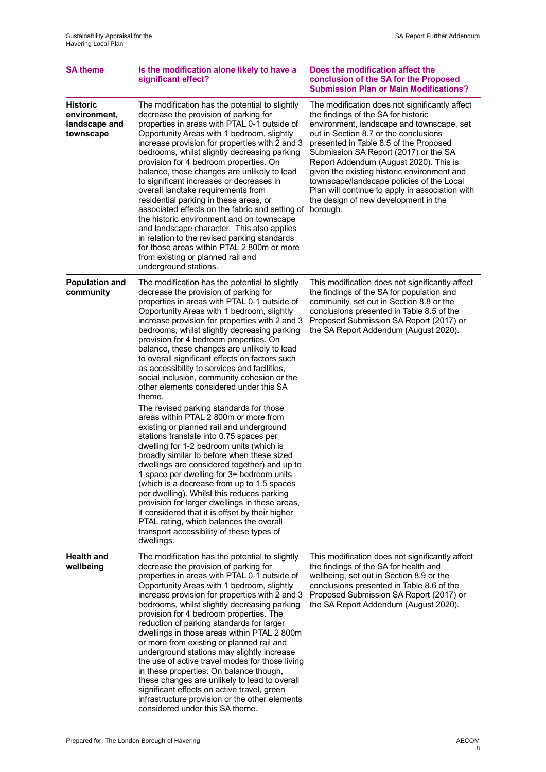| <b>SA theme</b>                                               | Is the modification alone likely to have a<br>significant effect?                                                                                                                                                                                                                                                                                                                                                                                                                                                                                                                                                                                                                                                                                                                                                                                                                                                                                                                                                                                                                                                                                                                                                                                               | Does the modification affect the<br>conclusion of the SA for the Proposed<br><b>Submission Plan or Main Modifications?</b>                                                                                                                                                                                                                                                                                                                                                                                  |
|---------------------------------------------------------------|-----------------------------------------------------------------------------------------------------------------------------------------------------------------------------------------------------------------------------------------------------------------------------------------------------------------------------------------------------------------------------------------------------------------------------------------------------------------------------------------------------------------------------------------------------------------------------------------------------------------------------------------------------------------------------------------------------------------------------------------------------------------------------------------------------------------------------------------------------------------------------------------------------------------------------------------------------------------------------------------------------------------------------------------------------------------------------------------------------------------------------------------------------------------------------------------------------------------------------------------------------------------|-------------------------------------------------------------------------------------------------------------------------------------------------------------------------------------------------------------------------------------------------------------------------------------------------------------------------------------------------------------------------------------------------------------------------------------------------------------------------------------------------------------|
| <b>Historic</b><br>environment,<br>landscape and<br>townscape | The modification has the potential to slightly<br>decrease the provision of parking for<br>properties in areas with PTAL 0-1 outside of<br>Opportunity Areas with 1 bedroom, slightly<br>increase provision for properties with 2 and 3<br>bedrooms, whilst slightly decreasing parking<br>provision for 4 bedroom properties. On<br>balance, these changes are unlikely to lead<br>to significant increases or decreases in<br>overall landtake requirements from<br>residential parking in these areas, or<br>associated effects on the fabric and setting of<br>the historic environment and on townscape<br>and landscape character. This also applies<br>in relation to the revised parking standards<br>for those areas within PTAL 2 800m or more<br>from existing or planned rail and<br>underground stations.                                                                                                                                                                                                                                                                                                                                                                                                                                          | The modification does not significantly affect<br>the findings of the SA for historic<br>environment, landscape and townscape, set<br>out in Section 8.7 or the conclusions<br>presented in Table 8.5 of the Proposed<br>Submission SA Report (2017) or the SA<br>Report Addendum (August 2020). This is<br>given the existing historic environment and<br>townscape/landscape policies of the Local<br>Plan will continue to apply in association with<br>the design of new development in the<br>borough. |
| <b>Population and</b><br>community                            | The modification has the potential to slightly<br>decrease the provision of parking for<br>properties in areas with PTAL 0-1 outside of<br>Opportunity Areas with 1 bedroom, slightly<br>increase provision for properties with 2 and 3<br>bedrooms, whilst slightly decreasing parking<br>provision for 4 bedroom properties. On<br>balance, these changes are unlikely to lead<br>to overall significant effects on factors such<br>as accessibility to services and facilities,<br>social inclusion, community cohesion or the<br>other elements considered under this SA<br>theme.<br>The revised parking standards for those<br>areas within PTAL 2 800m or more from<br>existing or planned rail and underground<br>stations translate into 0.75 spaces per<br>dwelling for 1-2 bedroom units (which is<br>broadly similar to before when these sized<br>dwellings are considered together) and up to<br>1 space per dwelling for 3+ bedroom units<br>(which is a decrease from up to 1.5 spaces<br>per dwelling). Whilst this reduces parking<br>provision for larger dwellings in these areas,<br>it considered that it is offset by their higher<br>PTAL rating, which balances the overall<br>transport accessibility of these types of<br>dwellings. | This modification does not significantly affect<br>the findings of the SA for population and<br>community, set out in Section 8.8 or the<br>conclusions presented in Table 8.5 of the<br>Proposed Submission SA Report (2017) or<br>the SA Report Addendum (August 2020).                                                                                                                                                                                                                                   |
| <b>Health and</b><br>wellbeing                                | The modification has the potential to slightly<br>decrease the provision of parking for<br>properties in areas with PTAL 0-1 outside of<br>Opportunity Areas with 1 bedroom, slightly<br>increase provision for properties with 2 and 3<br>bedrooms, whilst slightly decreasing parking<br>provision for 4 bedroom properties. The<br>reduction of parking standards for larger<br>dwellings in those areas within PTAL 2 800m<br>or more from existing or planned rail and<br>underground stations may slightly increase<br>the use of active travel modes for those living<br>in these properties. On balance though,<br>these changes are unlikely to lead to overall<br>significant effects on active travel, green<br>infrastructure provision or the other elements<br>considered under this SA theme.                                                                                                                                                                                                                                                                                                                                                                                                                                                    | This modification does not significantly affect<br>the findings of the SA for health and<br>wellbeing, set out in Section 8.9 or the<br>conclusions presented in Table 8.6 of the<br>Proposed Submission SA Report (2017) or<br>the SA Report Addendum (August 2020).                                                                                                                                                                                                                                       |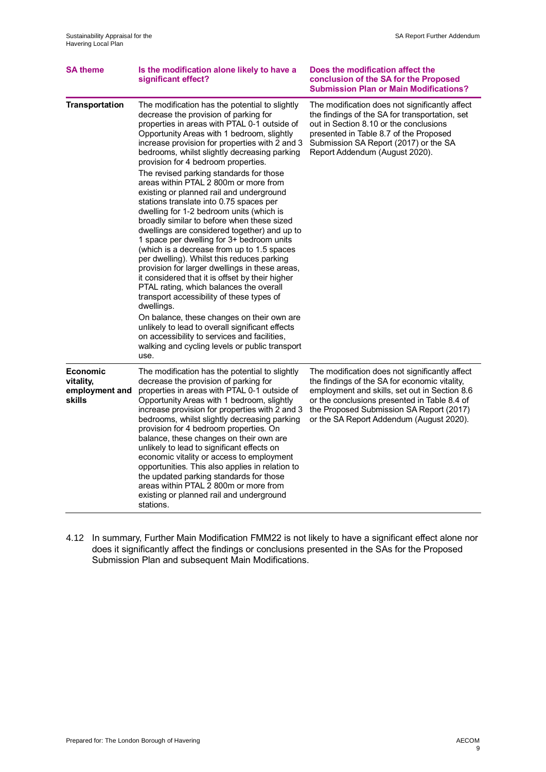| <b>SA theme</b>                                          | Is the modification alone likely to have a<br>significant effect?                                                                                                                                                                                                                                                                                                                                                                                                                                                                                                                                                                                                                                                                                                                                                                                                                                                                                                                                                                                                                                                                                                                                                  | Does the modification affect the<br>conclusion of the SA for the Proposed<br><b>Submission Plan or Main Modifications?</b>                                                                                                                                                               |
|----------------------------------------------------------|--------------------------------------------------------------------------------------------------------------------------------------------------------------------------------------------------------------------------------------------------------------------------------------------------------------------------------------------------------------------------------------------------------------------------------------------------------------------------------------------------------------------------------------------------------------------------------------------------------------------------------------------------------------------------------------------------------------------------------------------------------------------------------------------------------------------------------------------------------------------------------------------------------------------------------------------------------------------------------------------------------------------------------------------------------------------------------------------------------------------------------------------------------------------------------------------------------------------|------------------------------------------------------------------------------------------------------------------------------------------------------------------------------------------------------------------------------------------------------------------------------------------|
| <b>Transportation</b>                                    | The modification has the potential to slightly<br>decrease the provision of parking for<br>properties in areas with PTAL 0-1 outside of<br>Opportunity Areas with 1 bedroom, slightly<br>increase provision for properties with 2 and 3<br>bedrooms, whilst slightly decreasing parking<br>provision for 4 bedroom properties.<br>The revised parking standards for those<br>areas within PTAL 2 800m or more from<br>existing or planned rail and underground<br>stations translate into 0.75 spaces per<br>dwelling for 1-2 bedroom units (which is<br>broadly similar to before when these sized<br>dwellings are considered together) and up to<br>1 space per dwelling for 3+ bedroom units<br>(which is a decrease from up to 1.5 spaces<br>per dwelling). Whilst this reduces parking<br>provision for larger dwellings in these areas,<br>it considered that it is offset by their higher<br>PTAL rating, which balances the overall<br>transport accessibility of these types of<br>dwellings.<br>On balance, these changes on their own are<br>unlikely to lead to overall significant effects<br>on accessibility to services and facilities,<br>walking and cycling levels or public transport<br>use. | The modification does not significantly affect<br>the findings of the SA for transportation, set<br>out in Section 8.10 or the conclusions<br>presented in Table 8.7 of the Proposed<br>Submission SA Report (2017) or the SA<br>Report Addendum (August 2020).                          |
| <b>Economic</b><br>vitality,<br>employment and<br>skills | The modification has the potential to slightly<br>decrease the provision of parking for<br>properties in areas with PTAL 0-1 outside of<br>Opportunity Areas with 1 bedroom, slightly<br>increase provision for properties with 2 and 3<br>bedrooms, whilst slightly decreasing parking<br>provision for 4 bedroom properties. On<br>balance, these changes on their own are<br>unlikely to lead to significant effects on<br>economic vitality or access to employment<br>opportunities. This also applies in relation to<br>the updated parking standards for those<br>areas within PTAL 2 800m or more from<br>existing or planned rail and underground<br>stations.                                                                                                                                                                                                                                                                                                                                                                                                                                                                                                                                            | The modification does not significantly affect<br>the findings of the SA for economic vitality,<br>employment and skills, set out in Section 8.6<br>or the conclusions presented in Table 8.4 of<br>the Proposed Submission SA Report (2017)<br>or the SA Report Addendum (August 2020). |

4.12 In summary, Further Main Modification FMM22 is not likely to have a significant effect alone nor does it significantly affect the findings or conclusions presented in the SAs for the Proposed Submission Plan and subsequent Main Modifications.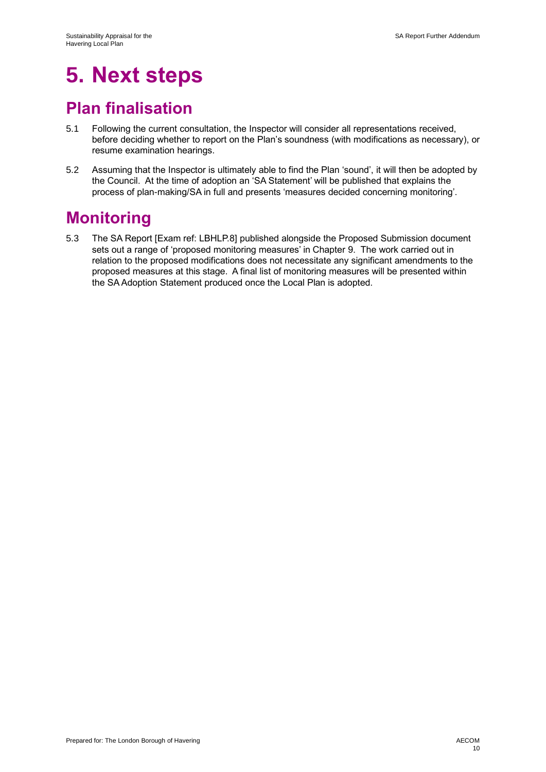# **5. Next steps**

# **Plan finalisation**

- 5.1 Following the current consultation, the Inspector will consider all representations received, before deciding whether to report on the Plan's soundness (with modifications as necessary), or resume examination hearings.
- 5.2 Assuming that the Inspector is ultimately able to find the Plan 'sound', it will then be adopted by the Council. At the time of adoption an 'SA Statement' will be published that explains the process of plan-making/SA in full and presents 'measures decided concerning monitoring'.

# **Monitoring**

5.3 The SA Report [Exam ref: LBHLP.8] published alongside the Proposed Submission document sets out a range of 'proposed monitoring measures' in Chapter 9. The work carried out in relation to the proposed modifications does not necessitate any significant amendments to the proposed measures at this stage. A final list of monitoring measures will be presented within the SA Adoption Statement produced once the Local Plan is adopted.